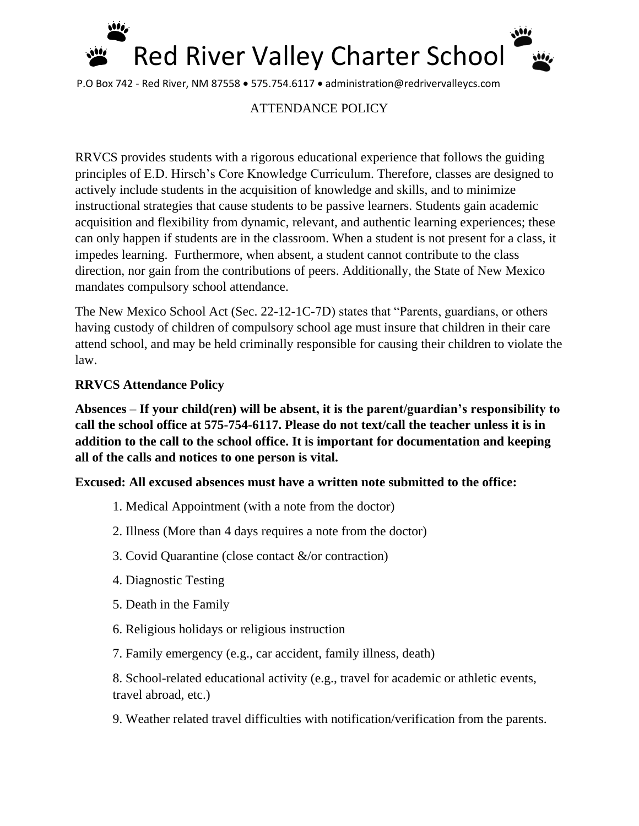

P.O Box 742 - Red River, NM 87558 • 575.754.6117 • administration@redrivervalleycs.com

# ATTENDANCE POLICY

RRVCS provides students with a rigorous educational experience that follows the guiding principles of E.D. Hirsch's Core Knowledge Curriculum. Therefore, classes are designed to actively include students in the acquisition of knowledge and skills, and to minimize instructional strategies that cause students to be passive learners. Students gain academic acquisition and flexibility from dynamic, relevant, and authentic learning experiences; these can only happen if students are in the classroom. When a student is not present for a class, it impedes learning. Furthermore, when absent, a student cannot contribute to the class direction, nor gain from the contributions of peers. Additionally, the State of New Mexico mandates compulsory school attendance.

The New Mexico School Act (Sec. 22-12-1C-7D) states that "Parents, guardians, or others having custody of children of compulsory school age must insure that children in their care attend school, and may be held criminally responsible for causing their children to violate the law.

## **RRVCS Attendance Policy**

**Absences – If your child(ren) will be absent, it is the parent/guardian's responsibility to call the school office at 575-754-6117. Please do not text/call the teacher unless it is in addition to the call to the school office. It is important for documentation and keeping all of the calls and notices to one person is vital.**

#### **Excused: All excused absences must have a written note submitted to the office:**

- 1. Medical Appointment (with a note from the doctor)
- 2. Illness (More than 4 days requires a note from the doctor)
- 3. Covid Quarantine (close contact &/or contraction)
- 4. Diagnostic Testing
- 5. Death in the Family
- 6. Religious holidays or religious instruction
- 7. Family emergency (e.g., car accident, family illness, death)

8. School-related educational activity (e.g., travel for academic or athletic events, travel abroad, etc.)

9. Weather related travel difficulties with notification/verification from the parents.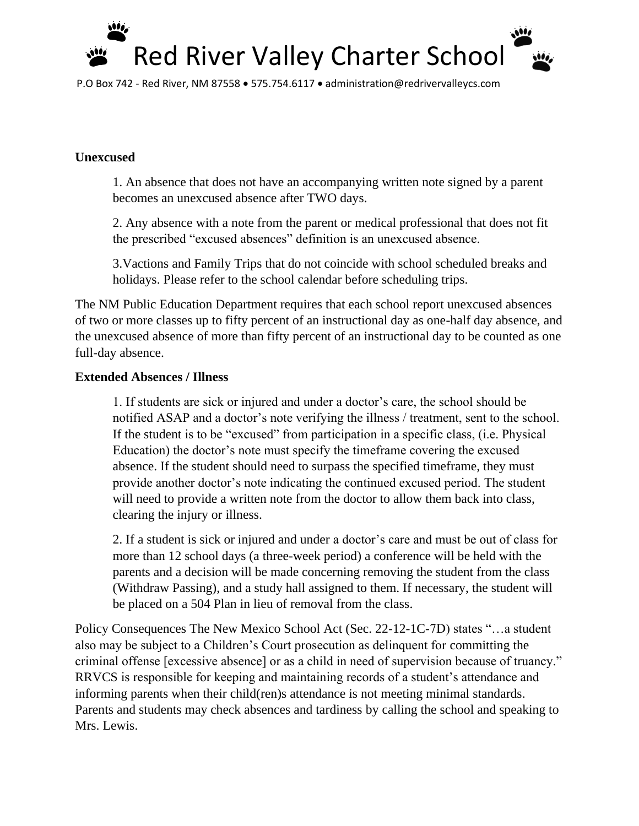

P.O Box 742 - Red River, NM 87558 • 575.754.6117 • administration@redrivervalleycs.com

# **Unexcused**

1. An absence that does not have an accompanying written note signed by a parent becomes an unexcused absence after TWO days.

2. Any absence with a note from the parent or medical professional that does not fit the prescribed "excused absences" definition is an unexcused absence.

3.Vactions and Family Trips that do not coincide with school scheduled breaks and holidays. Please refer to the school calendar before scheduling trips.

The NM Public Education Department requires that each school report unexcused absences of two or more classes up to fifty percent of an instructional day as one-half day absence, and the unexcused absence of more than fifty percent of an instructional day to be counted as one full-day absence.

## **Extended Absences / Illness**

1. If students are sick or injured and under a doctor's care, the school should be notified ASAP and a doctor's note verifying the illness / treatment, sent to the school. If the student is to be "excused" from participation in a specific class, (i.e. Physical Education) the doctor's note must specify the timeframe covering the excused absence. If the student should need to surpass the specified timeframe, they must provide another doctor's note indicating the continued excused period. The student will need to provide a written note from the doctor to allow them back into class, clearing the injury or illness.

2. If a student is sick or injured and under a doctor's care and must be out of class for more than 12 school days (a three-week period) a conference will be held with the parents and a decision will be made concerning removing the student from the class (Withdraw Passing), and a study hall assigned to them. If necessary, the student will be placed on a 504 Plan in lieu of removal from the class.

Policy Consequences The New Mexico School Act (Sec. 22-12-1C-7D) states "…a student also may be subject to a Children's Court prosecution as delinquent for committing the criminal offense [excessive absence] or as a child in need of supervision because of truancy." RRVCS is responsible for keeping and maintaining records of a student's attendance and informing parents when their child(ren)s attendance is not meeting minimal standards. Parents and students may check absences and tardiness by calling the school and speaking to Mrs. Lewis.